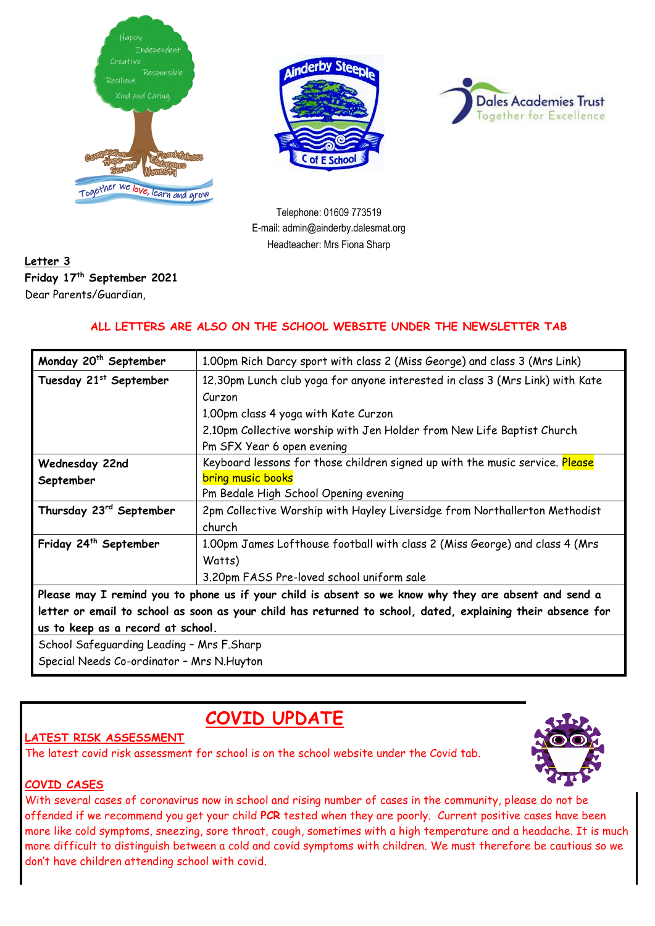





Telephone: 01609 773519 E-mail: admin@ainderby.dalesmat.org Headteacher: Mrs Fiona Sharp

### **Letter 3 Friday 17 th September 2021** Dear Parents/Guardian,

### **ALL LETTERS ARE ALSO ON THE SCHOOL WEBSITE UNDER THE NEWSLETTER TAB**

| Monday 20 <sup>th</sup> September                                                                           | 1.00pm Rich Darcy sport with class 2 (Miss George) and class 3 (Mrs Link)     |
|-------------------------------------------------------------------------------------------------------------|-------------------------------------------------------------------------------|
| Tuesday 21st September                                                                                      | 12.30pm Lunch club yoga for anyone interested in class 3 (Mrs Link) with Kate |
|                                                                                                             | Curzon                                                                        |
|                                                                                                             | 1.00pm class 4 yoga with Kate Curzon                                          |
|                                                                                                             | 2.10pm Collective worship with Jen Holder from New Life Baptist Church        |
|                                                                                                             | Pm SFX Year 6 open evening                                                    |
| Wednesday 22nd                                                                                              | Keyboard lessons for those children signed up with the music service. Please  |
| September                                                                                                   | <b>bring music books</b>                                                      |
|                                                                                                             | Pm Bedale High School Opening evening                                         |
| Thursday 23rd September                                                                                     | 2pm Collective Worship with Hayley Liversidge from Northallerton Methodist    |
|                                                                                                             | church                                                                        |
| Friday 24th September                                                                                       | 1.00pm James Lofthouse football with class 2 (Miss George) and class 4 (Mrs   |
|                                                                                                             | Watts)                                                                        |
|                                                                                                             | 3.20pm FASS Pre-loved school uniform sale                                     |
| Please may I remind you to phone us if your child is absent so we know why they are absent and send a       |                                                                               |
| letter or email to school as soon as your child has returned to school, dated, explaining their absence for |                                                                               |
| us to keep as a record at school.                                                                           |                                                                               |
| School Safeguarding Leading - Mrs F.Sharp                                                                   |                                                                               |
| Special Needs Co-ordinator - Mrs N. Huyton                                                                  |                                                                               |

# **COVID UPDATE**

### **LATEST RISK ASSESSMENT**

The latest covid risk assessment for school is on the school website under the Covid tab.



#### **COVID CASES**

With several cases of coronavirus now in school and rising number of cases in the community, please do not be offended if we recommend you get your child **PCR** tested when they are poorly. Current positive cases have been more like cold symptoms, sneezing, sore throat, cough, sometimes with a high temperature and a headache. It is much more difficult to distinguish between a cold and covid symptoms with children. We must therefore be cautious so we don't have children attending school with covid.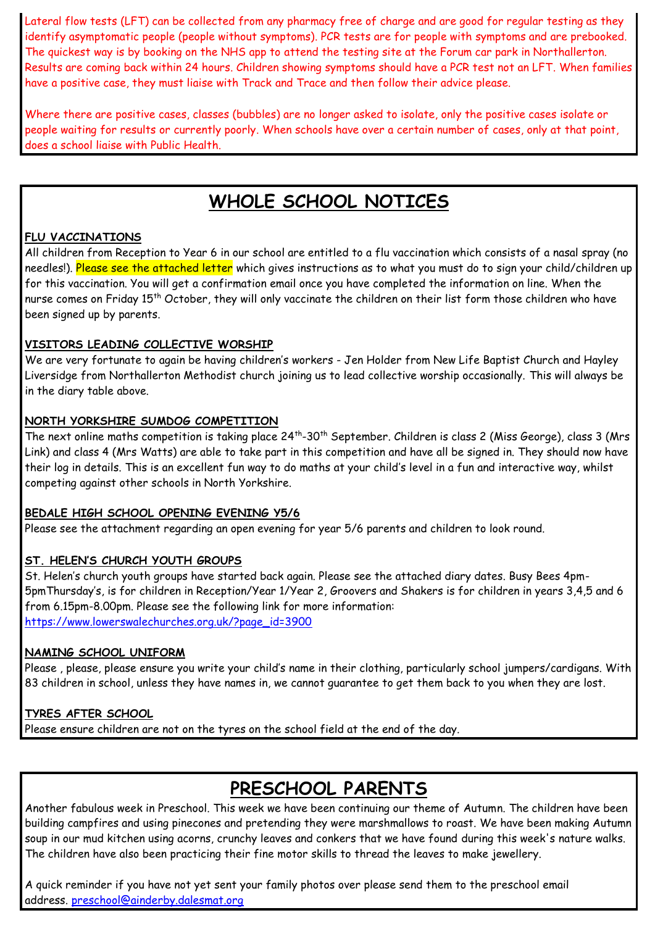Lateral flow tests (LFT) can be collected from any pharmacy free of charge and are good for regular testing as they identify asymptomatic people (people without symptoms). PCR tests are for people with symptoms and are prebooked. The quickest way is by booking on the NHS app to attend the testing site at the Forum car park in Northallerton. Results are coming back within 24 hours. Children showing symptoms should have a PCR test not an LFT. When families have a positive case, they must liaise with Track and Trace and then follow their advice please.

Where there are positive cases, classes (bubbles) are no longer asked to isolate, only the positive cases isolate or people waiting for results or currently poorly. When schools have over a certain number of cases, only at that point, does a school liaise with Public Health.

# **WHOLE SCHOOL NOTICES**

#### **FLU VACCINATIONS**

All children from Reception to Year 6 in our school are entitled to a flu vaccination which consists of a nasal spray (no needles!). Please see the attached letter which gives instructions as to what you must do to sign your child/children up for this vaccination. You will get a confirmation email once you have completed the information on line. When the nurse comes on Friday 15<sup>th</sup> October, they will only vaccinate the children on their list form those children who have been signed up by parents.

#### **VISITORS LEADING COLLECTIVE WORSHIP**

We are very fortunate to again be having children's workers - Jen Holder from New Life Baptist Church and Hayley Liversidge from Northallerton Methodist church joining us to lead collective worship occasionally. This will always be in the diary table above.

#### **NORTH YORKSHIRE SUMDOG COMPETITION**

The next online maths competition is taking place 24<sup>th</sup>-30<sup>th</sup> September. Children is class 2 (Miss George), class 3 (Mrs Link) and class 4 (Mrs Watts) are able to take part in this competition and have all be signed in. They should now have their log in details. This is an excellent fun way to do maths at your child's level in a fun and interactive way, whilst competing against other schools in North Yorkshire.

#### **BEDALE HIGH SCHOOL OPENING EVENING Y5/6**

Please see the attachment regarding an open evening for year 5/6 parents and children to look round.

#### **ST. HELEN'S CHURCH YOUTH GROUPS**

St. Helen's church youth groups have started back again. Please see the attached diary dates. Busy Bees 4pm-5pmThursday's, is for children in Reception/Year 1/Year 2, Groovers and Shakers is for children in years 3,4,5 and 6 from 6.15pm-8.00pm. Please see the following link for more information: [https://www.lowerswalechurches.org.uk/?page\\_id=3900](https://www.lowerswalechurches.org.uk/?page_id=3900)

#### **NAMING SCHOOL UNIFORM**

Please , please, please ensure you write your child's name in their clothing, particularly school jumpers/cardigans. With 83 children in school, unless they have names in, we cannot guarantee to get them back to you when they are lost.

#### **TYRES AFTER SCHOOL**

Please ensure children are not on the tyres on the school field at the end of the day.

# **PRESCHOOL PARENTS**

Another fabulous week in Preschool. This week we have been continuing our theme of Autumn. The children have been building campfires and using pinecones and pretending they were marshmallows to roast. We have been making Autumn soup in our mud kitchen using acorns, crunchy leaves and conkers that we have found during this week's nature walks. The children have also been practicing their fine motor skills to thread the leaves to make jewellery.

A quick reminder if you have not yet sent your family photos over please send them to the preschool email address. [preschool@ainderby.dalesmat.org](mailto:preschool@ainderby.dalesmat.org)